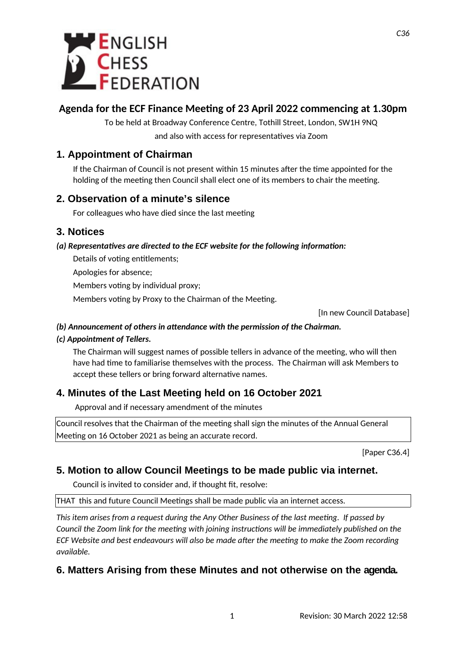

## **Agenda for the ECF Finance Meeting of 23 April 2022 commencing at 1.30pm**

To be held at Broadway Conference Centre, Tothill Street, London, SW1H 9NQ and also with access for representatives via Zoom

### **1. Appointment of Chairman**

If the Chairman of Council is not present within 15 minutes after the time appointed for the holding of the meeting then Council shall elect one of its members to chair the meeting.

#### **2. Observation of a minute's silence**

For colleagues who have died since the last meeting

#### **3. Notices**

#### *(a) Representatives are directed to the ECF website for the following information:*

Details of voting entitlements;

Apologies for absence;

Members voting by individual proxy;

Members voting by Proxy to the Chairman of the Meeting.

[In new Council Database]

#### *(b) Announcement of others in attendance with the permission of the Chairman.*

#### *(c) Appointment of Tellers.*

The Chairman will suggest names of possible tellers in advance of the meeting, who will then have had time to familiarise themselves with the process. The Chairman will ask Members to accept these tellers or bring forward alternative names.

## **4. Minutes of the Last Meeting held on 16 October 2021**

Approval and if necessary amendment of the minutes

Council resolves that the Chairman of the meeting shall sign the minutes of the Annual General Meeting on 16 October 2021 as being an accurate record.

[Paper C36.4]

#### **5. Motion to allow Council Meetings to be made public via internet.**

Council is invited to consider and, if thought fit, resolve:

THAT this and future Council Meetings shall be made public via an internet access.

*This item arises from a request during the Any Other Business of the last meeting. If passed by Council the Zoom link for the meeting with joining instructions will be immediately published on the ECF Website and best endeavours will also be made after the meeting to make the Zoom recording available.* 

#### **6. Matters Arising from these Minutes and not otherwise on the agenda.**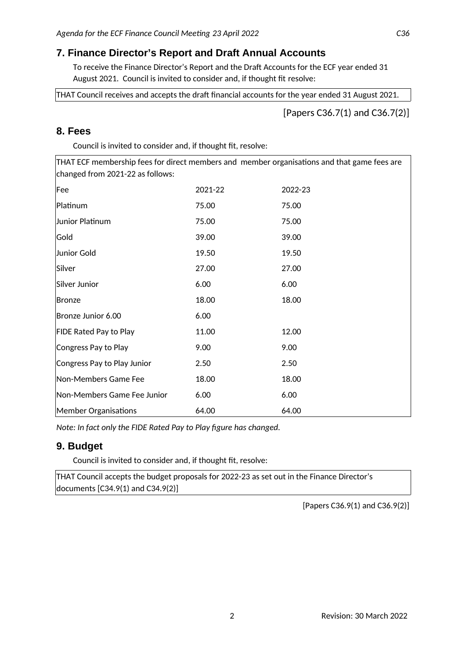### **7. Finance Director's Report and Draft Annual Accounts**

To receive the Finance Director's Report and the Draft Accounts for the ECF year ended 31 August 2021. Council is invited to consider and, if thought fit resolve:

THAT Council receives and accepts the draft financial accounts for the year ended 31 August 2021.

[Papers C36.7(1) and C36.7(2)]

#### **8. Fees**

Council is invited to consider and, if thought fit, resolve:

THAT ECF membership fees for direct members and member organisations and that game fees are changed from 2021-22 as follows:

| Fee                           | 2021-22 | 2022-23 |
|-------------------------------|---------|---------|
| Platinum                      | 75.00   | 75.00   |
| Junior Platinum               | 75.00   | 75.00   |
| Gold                          | 39.00   | 39.00   |
| Junior Gold                   | 19.50   | 19.50   |
| Silver                        | 27.00   | 27.00   |
| Silver Junior                 | 6.00    | 6.00    |
| Bronze                        | 18.00   | 18.00   |
| Bronze Junior 6.00            | 6.00    |         |
| <b>FIDE Rated Pay to Play</b> | 11.00   | 12.00   |
| Congress Pay to Play          | 9.00    | 9.00    |
| Congress Pay to Play Junior   | 2.50    | 2.50    |
| Non-Members Game Fee          | 18.00   | 18.00   |
| Non-Members Game Fee Junior   | 6.00    | 6.00    |
| <b>Member Organisations</b>   | 64.00   | 64.00   |

*Note: In fact only the FIDE Rated Pay to Play figure has changed.*

#### **9. Budget**

Council is invited to consider and, if thought fit, resolve:

THAT Council accepts the budget proposals for 2022-23 as set out in the Finance Director's documents [C34.9(1) and C34.9(2)]

[Papers C36.9(1) and C36.9(2)]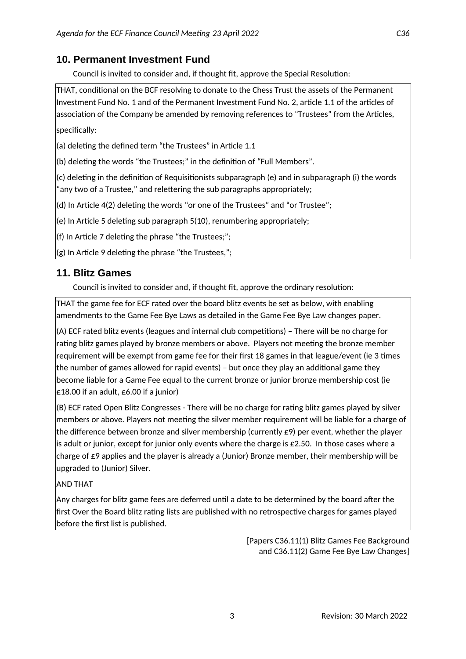### **10. Permanent Investment Fund**

Council is invited to consider and, if thought fit, approve the Special Resolution:

THAT, conditional on the BCF resolving to donate to the Chess Trust the assets of the Permanent Investment Fund No. 1 and of the Permanent Investment Fund No. 2, article 1.1 of the articles of association of the Company be amended by removing references to "Trustees" from the Articles, specifically:

(a) deleting the defined term "the Trustees" in Article 1.1

(b) deleting the words "the Trustees;" in the definition of "Full Members".

(c) deleting in the definition of Requisitionists subparagraph (e) and in subparagraph (i) the words "any two of a Trustee," and relettering the sub paragraphs appropriately;

(d) In Article 4(2) deleting the words "or one of the Trustees" and "or Trustee";

(e) In Article 5 deleting sub paragraph 5(10), renumbering appropriately;

(f) In Article 7 deleting the phrase "the Trustees;";

(g) In Article 9 deleting the phrase "the Trustees,";

#### **11. Blitz Games**

Council is invited to consider and, if thought fit, approve the ordinary resolution:

THAT the game fee for ECF rated over the board blitz events be set as below, with enabling amendments to the Game Fee Bye Laws as detailed in the Game Fee Bye Law changes paper.

(A) ECF rated blitz events (leagues and internal club competitions) – There will be no charge for rating blitz games played by bronze members or above. Players not meeting the bronze member requirement will be exempt from game fee for their first 18 games in that league/event (ie 3 times the number of games allowed for rapid events) – but once they play an additional game they become liable for a Game Fee equal to the current bronze or junior bronze membership cost (ie £18.00 if an adult,  $£6.00$  if a junior)

(B) ECF rated Open Blitz Congresses - There will be no charge for rating blitz games played by silver members or above. Players not meeting the silver member requirement will be liable for a charge of the difference between bronze and silver membership (currently  $\epsilon$ 9) per event, whether the player is adult or junior, except for junior only events where the charge is £2.50. In those cases where a charge of  $E$ 9 applies and the player is already a (Junior) Bronze member, their membership will be upgraded to (Junior) Silver.

AND THAT

Any charges for blitz game fees are deferred until a date to be determined by the board after the first Over the Board blitz rating lists are published with no retrospective charges for games played before the first list is published.

> [Papers C36.11(1) Blitz Games Fee Background and C36.11(2) Game Fee Bye Law Changes]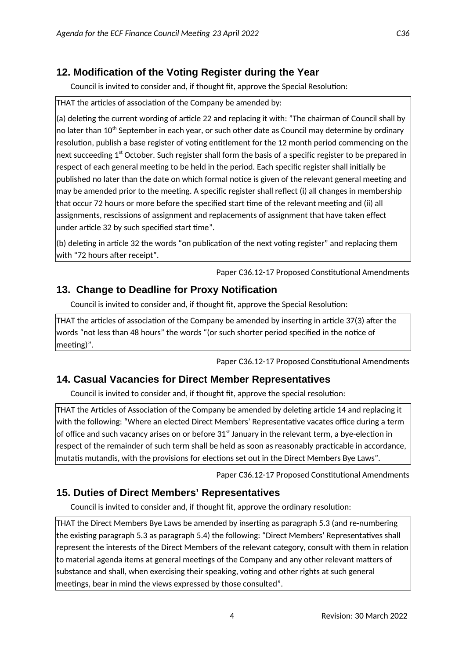## **12. Modification of the Voting Register during the Year**

Council is invited to consider and, if thought fit, approve the Special Resolution:

THAT the articles of association of the Company be amended by:

(a) deleting the current wording of article 22 and replacing it with: "The chairman of Council shall by no later than 10<sup>th</sup> September in each year, or such other date as Council may determine by ordinary resolution, publish a base register of voting entitlement for the 12 month period commencing on the next succeeding  $1<sup>st</sup>$  October. Such register shall form the basis of a specific register to be prepared in respect of each general meeting to be held in the period. Each specific register shall initially be published no later than the date on which formal notice is given of the relevant general meeting and may be amended prior to the meeting. A specific register shall reflect (i) all changes in membership that occur 72 hours or more before the specified start time of the relevant meeting and (ii) all assignments, rescissions of assignment and replacements of assignment that have taken effect under article 32 by such specified start time".

(b) deleting in article 32 the words "on publication of the next voting register" and replacing them with "72 hours after receipt".

Paper C36.12-17 Proposed Constitutional Amendments

### **13. Change to Deadline for Proxy Notification**

Council is invited to consider and, if thought fit, approve the Special Resolution:

THAT the articles of association of the Company be amended by inserting in article 37(3) after the words "not less than 48 hours" the words "(or such shorter period specified in the notice of meeting)".

Paper C36.12-17 Proposed Constitutional Amendments

## **14. Casual Vacancies for Direct Member Representatives**

Council is invited to consider and, if thought fit, approve the special resolution:

THAT the Articles of Association of the Company be amended by deleting article 14 and replacing it with the following: "Where an elected Direct Members' Representative vacates office during a term of office and such vacancy arises on or before 31<sup>st</sup> January in the relevant term, a bye-election in respect of the remainder of such term shall be held as soon as reasonably practicable in accordance, mutatis mutandis, with the provisions for elections set out in the Direct Members Bye Laws".

Paper C36.12-17 Proposed Constitutional Amendments

## **15. Duties of Direct Members' Representatives**

Council is invited to consider and, if thought fit, approve the ordinary resolution:

THAT the Direct Members Bye Laws be amended by inserting as paragraph 5.3 (and re-numbering the existing paragraph 5.3 as paragraph 5.4) the following: "Direct Members' Representatives shall represent the interests of the Direct Members of the relevant category, consult with them in relation to material agenda items at general meetings of the Company and any other relevant matters of substance and shall, when exercising their speaking, voting and other rights at such general meetings, bear in mind the views expressed by those consulted".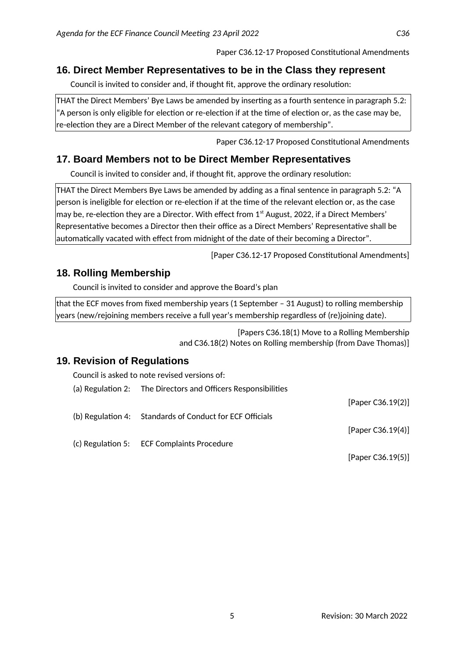### **16. Direct Member Representatives to be in the Class they represent**

Council is invited to consider and, if thought fit, approve the ordinary resolution:

THAT the Direct Members' Bye Laws be amended by inserting as a fourth sentence in paragraph 5.2: "A person is only eligible for election or re-election if at the time of election or, as the case may be, re-election they are a Direct Member of the relevant category of membership".

Paper C36.12-17 Proposed Constitutional Amendments

## **17. Board Members not to be Direct Member Representatives**

Council is invited to consider and, if thought fit, approve the ordinary resolution:

THAT the Direct Members Bye Laws be amended by adding as a final sentence in paragraph 5.2: "A person is ineligible for election or re-election if at the time of the relevant election or, as the case may be, re-election they are a Director. With effect from  $1<sup>st</sup>$  August, 2022, if a Direct Members' Representative becomes a Director then their office as a Direct Members' Representative shall be automatically vacated with effect from midnight of the date of their becoming a Director".

[Paper C36.12-17 Proposed Constitutional Amendments]

## **18. Rolling Membership**

Council is invited to consider and approve the Board's plan

that the ECF moves from fixed membership years (1 September – 31 August) to rolling membership years (new/rejoining members receive a full year's membership regardless of (re)joining date).

> [Papers C36.18(1) Move to a Rolling Membership and C36.18(2) Notes on Rolling membership (from Dave Thomas)]

# **19. Revision of Regulations**

Council is asked to note revised versions of:

| (a) Regulation 2: The Directors and Officers Responsibilities |                   |
|---------------------------------------------------------------|-------------------|
|                                                               | [Paper C36.19(2)] |
| (b) Regulation 4: Standards of Conduct for ECF Officials      |                   |
|                                                               | [Paper C36.19(4)] |
| (c) Regulation 5: ECF Complaints Procedure                    |                   |
|                                                               | [Paper C36.19(5)] |